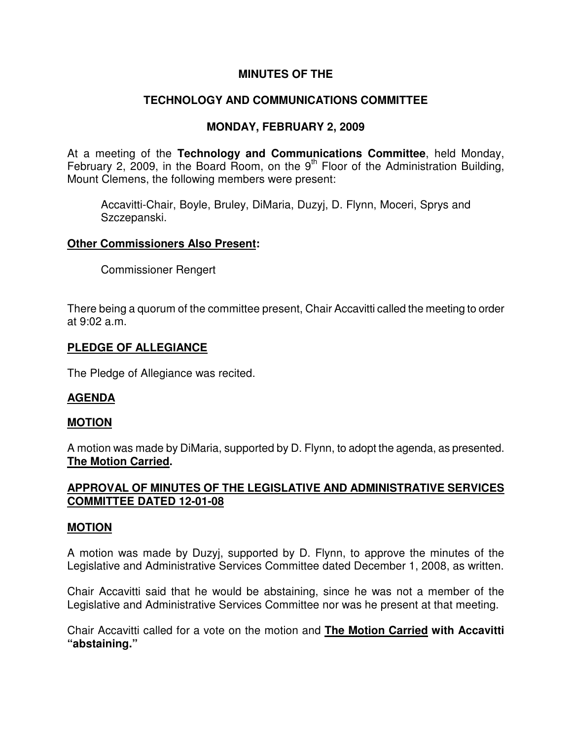## **MINUTES OF THE**

## **TECHNOLOGY AND COMMUNICATIONS COMMITTEE**

## **MONDAY, FEBRUARY 2, 2009**

At a meeting of the **Technology and Communications Committee**, held Monday, February 2, 2009, in the Board Room, on the  $9<sup>th</sup>$  Floor of the Administration Building, Mount Clemens, the following members were present:

Accavitti-Chair, Boyle, Bruley, DiMaria, Duzyj, D. Flynn, Moceri, Sprys and Szczepanski.

#### **Other Commissioners Also Present:**

Commissioner Rengert

There being a quorum of the committee present, Chair Accavitti called the meeting to order at 9:02 a.m.

#### **PLEDGE OF ALLEGIANCE**

The Pledge of Allegiance was recited.

### **AGENDA**

### **MOTION**

A motion was made by DiMaria, supported by D. Flynn, to adopt the agenda, as presented. **The Motion Carried.** 

## **APPROVAL OF MINUTES OF THE LEGISLATIVE AND ADMINISTRATIVE SERVICES COMMITTEE DATED 12-01-08**

### **MOTION**

A motion was made by Duzyj, supported by D. Flynn, to approve the minutes of the Legislative and Administrative Services Committee dated December 1, 2008, as written.

Chair Accavitti said that he would be abstaining, since he was not a member of the Legislative and Administrative Services Committee nor was he present at that meeting.

Chair Accavitti called for a vote on the motion and **The Motion Carried with Accavitti "abstaining."**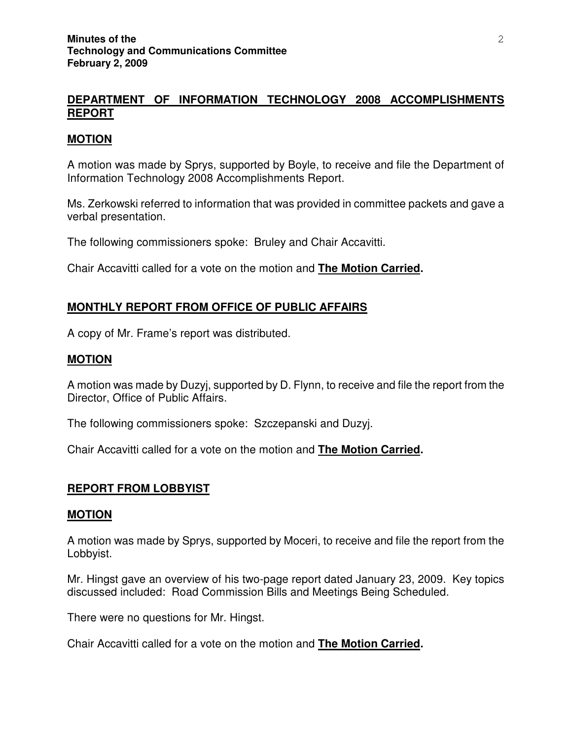## **DEPARTMENT OF INFORMATION TECHNOLOGY 2008 ACCOMPLISHMENTS REPORT**

### **MOTION**

A motion was made by Sprys, supported by Boyle, to receive and file the Department of Information Technology 2008 Accomplishments Report.

Ms. Zerkowski referred to information that was provided in committee packets and gave a verbal presentation.

The following commissioners spoke: Bruley and Chair Accavitti.

Chair Accavitti called for a vote on the motion and **The Motion Carried.** 

## **MONTHLY REPORT FROM OFFICE OF PUBLIC AFFAIRS**

A copy of Mr. Frame's report was distributed.

#### **MOTION**

A motion was made by Duzyj, supported by D. Flynn, to receive and file the report from the Director, Office of Public Affairs.

The following commissioners spoke: Szczepanski and Duzyj.

Chair Accavitti called for a vote on the motion and **The Motion Carried.**

### **REPORT FROM LOBBYIST**

#### **MOTION**

A motion was made by Sprys, supported by Moceri, to receive and file the report from the Lobbyist.

Mr. Hingst gave an overview of his two-page report dated January 23, 2009. Key topics discussed included: Road Commission Bills and Meetings Being Scheduled.

There were no questions for Mr. Hingst.

Chair Accavitti called for a vote on the motion and **The Motion Carried.**